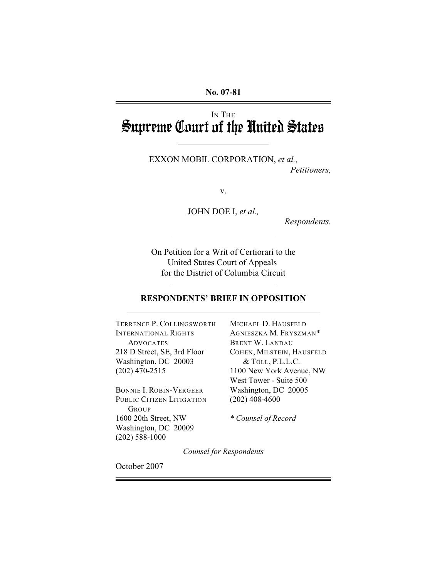**No. 07-81**

# IN THE Supreme Court of the United States

l

 $\overline{a}$ 

 $\overline{a}$ 

EXXON MOBIL CORPORATION, *et al., Petitioners,*

v.

JOHN DOE I, *et al.,*

*Respondents.*

On Petition for a Writ of Certiorari to the United States Court of Appeals for the District of Columbia Circuit

### **RESPONDENTS' BRIEF IN OPPOSITION**

TERRENCE P. COLLINGSWORTH MICHAEL D. HAUSFELD INTERNATIONAL RIGHTS AGNIESZKA M. FRYSZMAN\* ADVOCATES BRENT W. LANDAU 218 D Street, SE, 3rd Floor COHEN, MILSTEIN, HAUSFELD Washington, DC 20003 & TOLL, P.L.L.C. (202) 470-2515 1100 New York Avenue, NW

BONNIE I. ROBIN-VERGEER PUBLIC CITIZEN LITIGATION (202) 408-4600 GROUP 1600 20th Street, NW *\* Counsel of Record* Washington, DC 20009 (202) 588-1000

West Tower - Suite 500<br>Washington, DC 20005

*Counsel for Respondents*

October 2007

 $\overline{a}$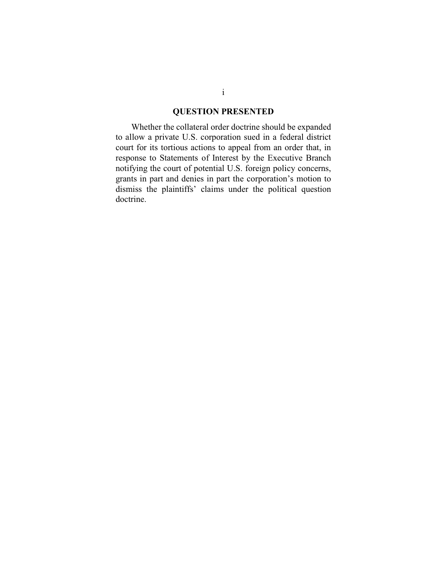## **QUESTION PRESENTED**

Whether the collateral order doctrine should be expanded to allow a private U.S. corporation sued in a federal district court for its tortious actions to appeal from an order that, in response to Statements of Interest by the Executive Branch notifying the court of potential U.S. foreign policy concerns, grants in part and denies in part the corporation's motion to dismiss the plaintiffs' claims under the political question doctrine.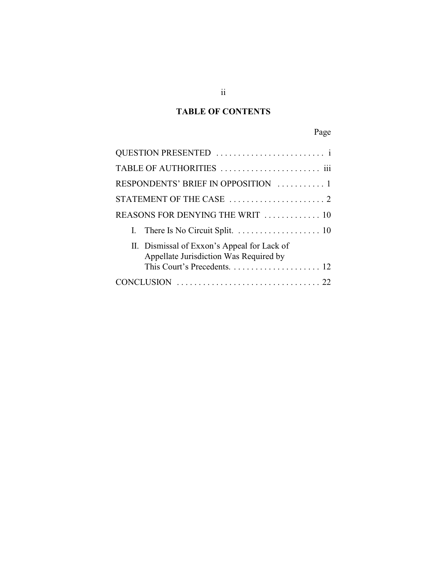# **TABLE OF CONTENTS**

|--|

| RESPONDENTS' BRIEF IN OPPOSITION  1                                                   |
|---------------------------------------------------------------------------------------|
|                                                                                       |
| REASONS FOR DENYING THE WRIT  10                                                      |
|                                                                                       |
| II. Dismissal of Exxon's Appeal for Lack of<br>Appellate Jurisdiction Was Required by |
|                                                                                       |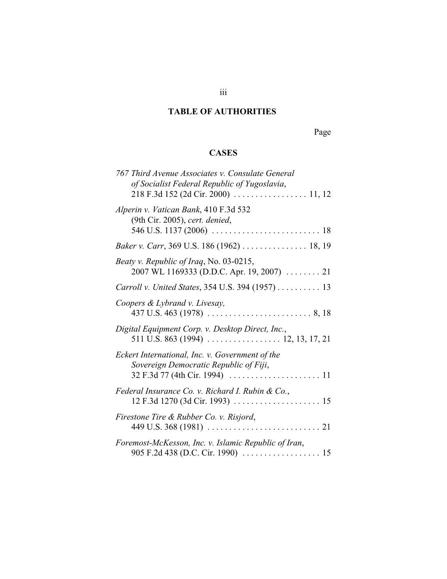# **TABLE OF AUTHORITIES**

Page

# **CASES**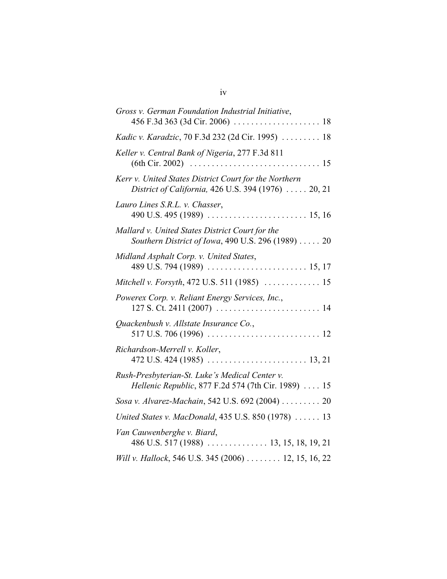| Gross v. German Foundation Industrial Initiative,                                                            |
|--------------------------------------------------------------------------------------------------------------|
| Kadic v. Karadzic, 70 F.3d 232 (2d Cir. 1995)  18                                                            |
| Keller v. Central Bank of Nigeria, 277 F.3d 811                                                              |
| Kerr v. United States District Court for the Northern<br>District of California, 426 U.S. 394 (1976)  20, 21 |
| Lauro Lines S.R.L. v. Chasser,                                                                               |
| Mallard v. United States District Court for the<br>Southern District of Iowa, 490 U.S. 296 (1989)  20        |
| Midland Asphalt Corp. v. United States,                                                                      |
| Mitchell v. Forsyth, 472 U.S. 511 (1985)  15                                                                 |
| Powerex Corp. v. Reliant Energy Services, Inc.,                                                              |
| Quackenbush v. Allstate Insurance Co.,                                                                       |
| Richardson-Merrell v. Koller,                                                                                |
| Rush-Presbyterian-St. Luke's Medical Center v.<br>Hellenic Republic, 877 F.2d 574 (7th Cir. 1989)  15        |
| Sosa v. Alvarez-Machain, 542 U.S. 692 (2004) 20                                                              |
| United States v. MacDonald, 435 U.S. 850 (1978)  13                                                          |
| Van Cauwenberghe v. Biard,                                                                                   |
| Will v. Hallock, 546 U.S. 345 (2006)  12, 15, 16, 22                                                         |

iv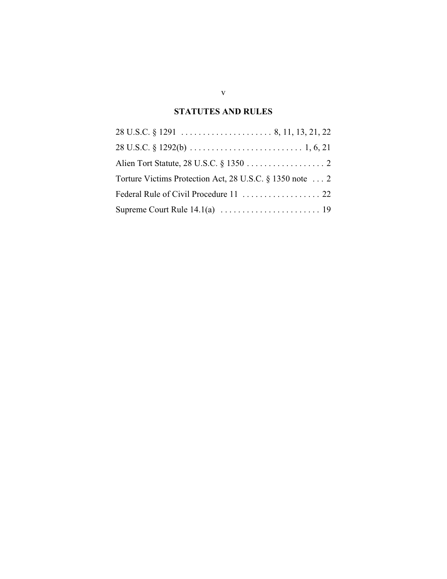# **STATUTES AND RULES**

| Torture Victims Protection Act, 28 U.S.C. § 1350 note  2 |
|----------------------------------------------------------|
|                                                          |
|                                                          |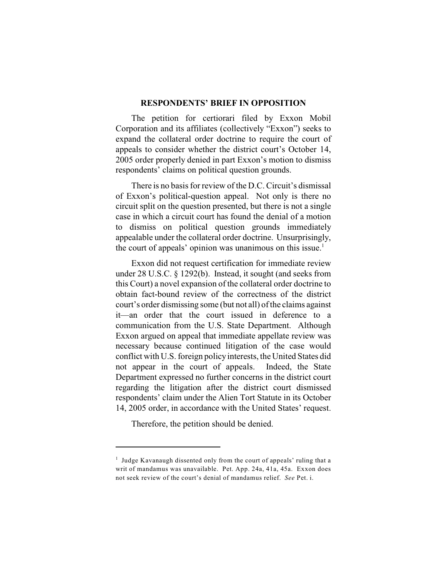#### **RESPONDENTS' BRIEF IN OPPOSITION**

The petition for certiorari filed by Exxon Mobil Corporation and its affiliates (collectively "Exxon") seeks to expand the collateral order doctrine to require the court of appeals to consider whether the district court's October 14, 2005 order properly denied in part Exxon's motion to dismiss respondents' claims on political question grounds.

There is no basis for review of the D.C. Circuit's dismissal of Exxon's political-question appeal. Not only is there no circuit split on the question presented, but there is not a single case in which a circuit court has found the denial of a motion to dismiss on political question grounds immediately appealable under the collateral order doctrine. Unsurprisingly, the court of appeals' opinion was unanimous on this issue.<sup>1</sup>

Exxon did not request certification for immediate review under 28 U.S.C. § 1292(b). Instead, it sought (and seeks from this Court) a novel expansion of the collateral order doctrine to obtain fact-bound review of the correctness of the district court's order dismissing some (but not all) of the claims against it—an order that the court issued in deference to a communication from the U.S. State Department. Although Exxon argued on appeal that immediate appellate review was necessary because continued litigation of the case would conflict with U.S. foreign policy interests, the United States did not appear in the court of appeals. Indeed, the State Department expressed no further concerns in the district court regarding the litigation after the district court dismissed respondents' claim under the Alien Tort Statute in its October 14, 2005 order, in accordance with the United States' request.

Therefore, the petition should be denied.

 $\frac{1}{1}$  Judge Kavanaugh dissented only from the court of appeals' ruling that a writ of mandamus was unavailable. Pet. App. 24a, 41a, 45a. Exxon does not seek review of the court's denial of mandamus relief. *See* Pet. i.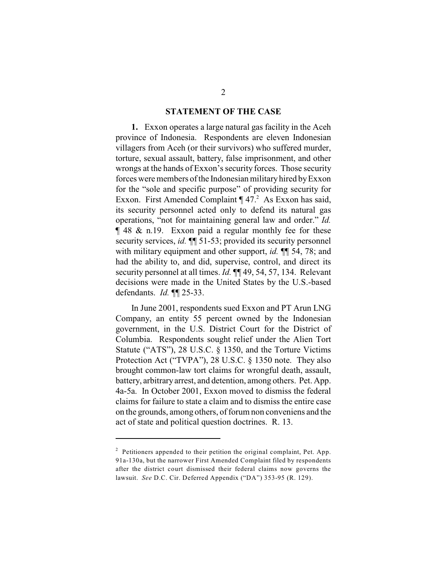#### **STATEMENT OF THE CASE**

**1.** Exxon operates a large natural gas facility in the Aceh province of Indonesia. Respondents are eleven Indonesian villagers from Aceh (or their survivors) who suffered murder, torture, sexual assault, battery, false imprisonment, and other wrongs at the hands of Exxon's security forces. Those security forces were members of the Indonesian military hired by Exxon for the "sole and specific purpose" of providing security for Exxon. First Amended Complaint  $\P$  47.<sup>2</sup> As Exxon has said, its security personnel acted only to defend its natural gas operations, "not for maintaining general law and order." *Id.* ¶ 48 & n.19. Exxon paid a regular monthly fee for these security services, *id.*  $\P$ [ 51-53; provided its security personnel with military equipment and other support, *id.* ¶¶ 54, 78; and had the ability to, and did, supervise, control, and direct its security personnel at all times. *Id.* **[149, 54, 57, 134.** Relevant decisions were made in the United States by the U.S.-based defendants. *Id.* ¶¶ 25-33.

In June 2001, respondents sued Exxon and PT Arun LNG Company, an entity 55 percent owned by the Indonesian government, in the U.S. District Court for the District of Columbia. Respondents sought relief under the Alien Tort Statute ("ATS"), 28 U.S.C. § 1350, and the Torture Victims Protection Act ("TVPA"), 28 U.S.C. § 1350 note. They also brought common-law tort claims for wrongful death, assault, battery, arbitrary arrest, and detention, among others. Pet. App. 4a-5a. In October 2001, Exxon moved to dismiss the federal claims for failure to state a claim and to dismiss the entire case on the grounds, among others, of forum non conveniens and the act of state and political question doctrines. R. 13.

 $P$  Petitioners appended to their petition the original complaint, Pet. App. 91a-130a, but the narrower First Amended Complaint filed by respondents after the district court dismissed their federal claims now governs the lawsuit. *See* D.C. Cir. Deferred Appendix ("DA") 353-95 (R. 129).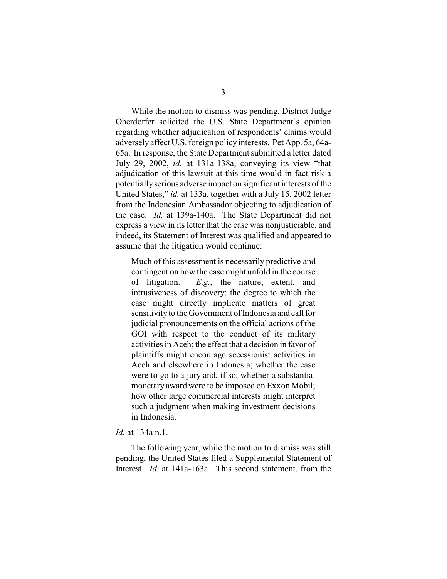While the motion to dismiss was pending, District Judge Oberdorfer solicited the U.S. State Department's opinion regarding whether adjudication of respondents' claims would adversely affect U.S. foreign policy interests. Pet App. 5a, 64a-65a. In response, the State Department submitted a letter dated July 29, 2002, *id.* at 131a-138a, conveying its view "that adjudication of this lawsuit at this time would in fact risk a potentially serious adverse impact on significant interests of the United States," *id.* at 133a, together with a July 15, 2002 letter from the Indonesian Ambassador objecting to adjudication of the case. *Id.* at 139a-140a. The State Department did not express a view in its letter that the case was nonjusticiable, and indeed, its Statement of Interest was qualified and appeared to assume that the litigation would continue:

 Much of this assessment is necessarily predictive and contingent on how the case might unfold in the course of litigation. *E.g.*, the nature, extent, and intrusiveness of discovery; the degree to which the case might directly implicate matters of great sensitivity to the Government of Indonesia and call for judicial pronouncements on the official actions of the GOI with respect to the conduct of its military activities in Aceh; the effect that a decision in favor of plaintiffs might encourage secessionist activities in Aceh and elsewhere in Indonesia; whether the case were to go to a jury and, if so, whether a substantial monetary award were to be imposed on Exxon Mobil; how other large commercial interests might interpret such a judgment when making investment decisions in Indonesia.

#### *Id.* at 134a n.1.

The following year, while the motion to dismiss was still pending, the United States filed a Supplemental Statement of Interest. *Id.* at 141a-163a. This second statement, from the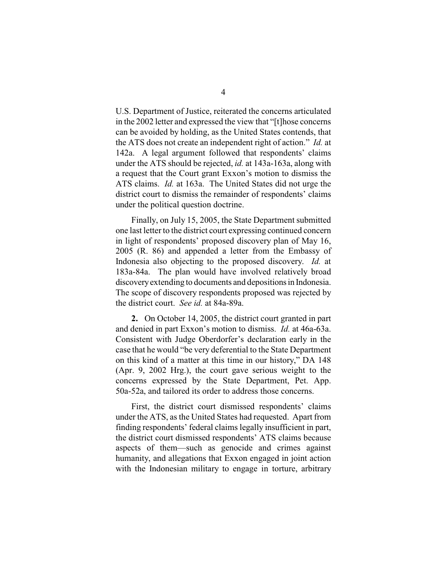U.S. Department of Justice, reiterated the concerns articulated in the 2002 letter and expressed the view that "[t]hose concerns can be avoided by holding, as the United States contends, that the ATS does not create an independent right of action." *Id.* at 142a. A legal argument followed that respondents' claims under the ATS should be rejected, *id.* at 143a-163a, along with a request that the Court grant Exxon's motion to dismiss the ATS claims. *Id.* at 163a. The United States did not urge the district court to dismiss the remainder of respondents' claims under the political question doctrine.

Finally, on July 15, 2005, the State Department submitted one last letter to the district court expressing continued concern in light of respondents' proposed discovery plan of May 16, 2005 (R. 86) and appended a letter from the Embassy of Indonesia also objecting to the proposed discovery. *Id.* at 183a-84a. The plan would have involved relatively broad discovery extending to documents and depositions in Indonesia. The scope of discovery respondents proposed was rejected by the district court. *See id.* at 84a-89a.

**2.** On October 14, 2005, the district court granted in part and denied in part Exxon's motion to dismiss. *Id.* at 46a-63a. Consistent with Judge Oberdorfer's declaration early in the case that he would "be very deferential to the State Department on this kind of a matter at this time in our history," DA 148 (Apr. 9, 2002 Hrg.), the court gave serious weight to the concerns expressed by the State Department, Pet. App. 50a-52a, and tailored its order to address those concerns.

First, the district court dismissed respondents' claims under the ATS, as the United States had requested. Apart from finding respondents' federal claims legally insufficient in part, the district court dismissed respondents' ATS claims because aspects of them—such as genocide and crimes against humanity, and allegations that Exxon engaged in joint action with the Indonesian military to engage in torture, arbitrary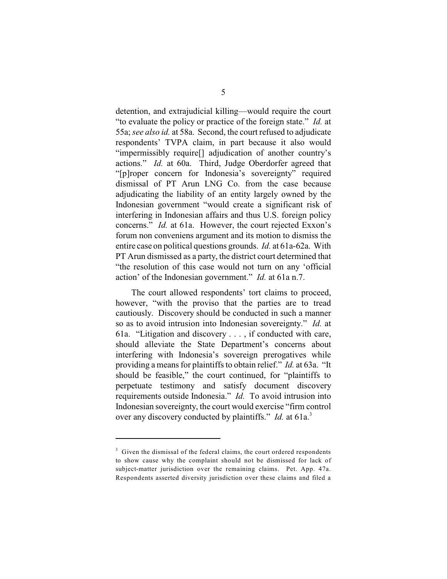detention, and extrajudicial killing—would require the court "to evaluate the policy or practice of the foreign state." *Id.* at 55a; *see also id.* at 58a. Second, the court refused to adjudicate respondents' TVPA claim, in part because it also would "impermissibly require[] adjudication of another country's actions." *Id.* at 60a. Third, Judge Oberdorfer agreed that "[p]roper concern for Indonesia's sovereignty" required dismissal of PT Arun LNG Co. from the case because adjudicating the liability of an entity largely owned by the Indonesian government "would create a significant risk of interfering in Indonesian affairs and thus U.S. foreign policy concerns." *Id.* at 61a. However, the court rejected Exxon's forum non conveniens argument and its motion to dismiss the entire case on political questions grounds. *Id.* at 61a-62a. With PT Arun dismissed as a party, the district court determined that "the resolution of this case would not turn on any 'official action' of the Indonesian government." *Id.* at 61a n.7.

The court allowed respondents' tort claims to proceed, however, "with the proviso that the parties are to tread cautiously. Discovery should be conducted in such a manner so as to avoid intrusion into Indonesian sovereignty." *Id.* at 61a. "Litigation and discovery . . . , if conducted with care, should alleviate the State Department's concerns about interfering with Indonesia's sovereign prerogatives while providing a means for plaintiffs to obtain relief." *Id.* at 63a. "It should be feasible," the court continued, for "plaintiffs to perpetuate testimony and satisfy document discovery requirements outside Indonesia." *Id.* To avoid intrusion into Indonesian sovereignty, the court would exercise "firm control over any discovery conducted by plaintiffs." *Id.* at 61a.<sup>3</sup>

 $3$  Given the dismissal of the federal claims, the court ordered respondents to show cause why the complaint should not be dismissed for lack of subject-matter jurisdiction over the remaining claims. Pet. App. 47a. Respondents asserted diversity jurisdiction over these claims and filed a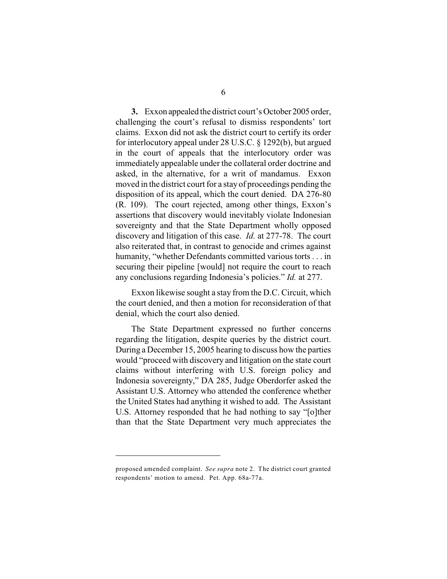**3.** Exxon appealed the district court's October 2005 order, challenging the court's refusal to dismiss respondents' tort claims. Exxon did not ask the district court to certify its order for interlocutory appeal under 28 U.S.C. § 1292(b), but argued in the court of appeals that the interlocutory order was immediately appealable under the collateral order doctrine and asked, in the alternative, for a writ of mandamus. Exxon moved in the district court for a stay of proceedings pending the disposition of its appeal, which the court denied. DA 276-80 (R. 109). The court rejected, among other things, Exxon's assertions that discovery would inevitably violate Indonesian sovereignty and that the State Department wholly opposed discovery and litigation of this case. *Id.* at 277-78. The court also reiterated that, in contrast to genocide and crimes against humanity, "whether Defendants committed various torts . . . in securing their pipeline [would] not require the court to reach any conclusions regarding Indonesia's policies." *Id.* at 277.

Exxon likewise sought a stay from the D.C. Circuit, which the court denied, and then a motion for reconsideration of that denial, which the court also denied.

The State Department expressed no further concerns regarding the litigation, despite queries by the district court. During a December 15, 2005 hearing to discuss how the parties would "proceed with discovery and litigation on the state court claims without interfering with U.S. foreign policy and Indonesia sovereignty," DA 285, Judge Oberdorfer asked the Assistant U.S. Attorney who attended the conference whether the United States had anything it wished to add. The Assistant U.S. Attorney responded that he had nothing to say "[o]ther than that the State Department very much appreciates the

proposed amended complaint. *See supra* note 2. The district court granted respondents' motion to amend. Pet. App. 68a-77a.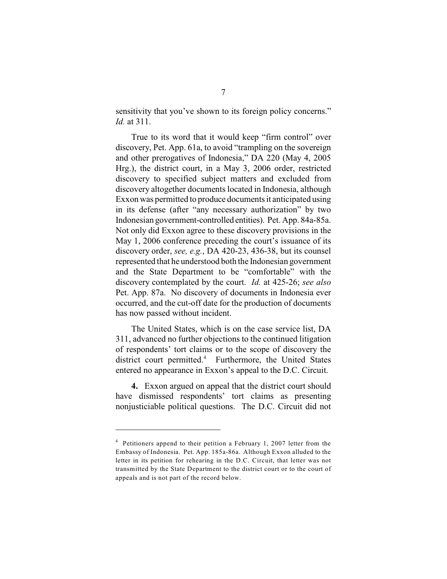sensitivity that you've shown to its foreign policy concerns." *Id.* at 311.

True to its word that it would keep "firm control" over discovery, Pet. App. 61a, to avoid "trampling on the sovereign and other prerogatives of Indonesia," DA 220 (May 4, 2005 Hrg.), the district court, in a May 3, 2006 order, restricted discovery to specified subject matters and excluded from discovery altogether documents located in Indonesia, although Exxon was permitted to produce documents it anticipated using in its defense (after "any necessary authorization" by two Indonesian government-controlled entities). Pet. App. 84a-85a. Not only did Exxon agree to these discovery provisions in the May 1, 2006 conference preceding the court's issuance of its discovery order, *see, e.g.*, DA 420-23, 436-38, but its counsel represented that he understood both the Indonesian government and the State Department to be "comfortable" with the discovery contemplated by the court. *Id.* at 425-26; *see also* Pet. App. 87a. No discovery of documents in Indonesia ever occurred, and the cut-off date for the production of documents has now passed without incident.

The United States, which is on the case service list, DA 311, advanced no further objections to the continued litigation of respondents' tort claims or to the scope of discovery the district court permitted.<sup>4</sup> Furthermore, the United States entered no appearance in Exxon's appeal to the D.C. Circuit.

**4.** Exxon argued on appeal that the district court should have dismissed respondents' tort claims as presenting nonjusticiable political questions. The D.C. Circuit did not

 $4$  Petitioners append to their petition a February 1, 2007 letter from the Embassy of Indonesia. Pet. App. 185a-86a. Although Exxon alluded to the letter in its petition for rehearing in the D.C. Circuit, that letter was not transmitted by the State Department to the district court or to the court of appeals and is not part of the record below.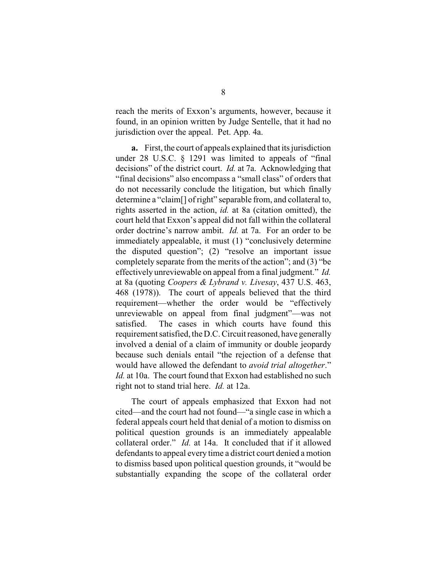reach the merits of Exxon's arguments, however, because it found, in an opinion written by Judge Sentelle, that it had no jurisdiction over the appeal. Pet. App. 4a.

**a.** First, the court of appeals explained that its jurisdiction under 28 U.S.C. § 1291 was limited to appeals of "final decisions" of the district court. *Id.* at 7a. Acknowledging that "final decisions" also encompass a "small class" of orders that do not necessarily conclude the litigation, but which finally determine a "claim[] of right" separable from, and collateral to, rights asserted in the action, *id.* at 8a (citation omitted), the court held that Exxon's appeal did not fall within the collateral order doctrine's narrow ambit. *Id.* at 7a. For an order to be immediately appealable, it must (1) "conclusively determine the disputed question"; (2) "resolve an important issue completely separate from the merits of the action"; and (3) "be effectively unreviewable on appeal from a final judgment." *Id.* at 8a (quoting *Coopers & Lybrand v. Livesay*, 437 U.S. 463, 468 (1978)). The court of appeals believed that the third requirement—whether the order would be "effectively unreviewable on appeal from final judgment"—was not satisfied. The cases in which courts have found this requirement satisfied, the D.C. Circuit reasoned, have generally involved a denial of a claim of immunity or double jeopardy because such denials entail "the rejection of a defense that would have allowed the defendant to *avoid trial altogether*." *Id.* at 10a. The court found that Exxon had established no such right not to stand trial here. *Id.* at 12a.

The court of appeals emphasized that Exxon had not cited—and the court had not found—"a single case in which a federal appeals court held that denial of a motion to dismiss on political question grounds is an immediately appealable collateral order." *Id.* at 14a. It concluded that if it allowed defendants to appeal every time a district court denied a motion to dismiss based upon political question grounds, it "would be substantially expanding the scope of the collateral order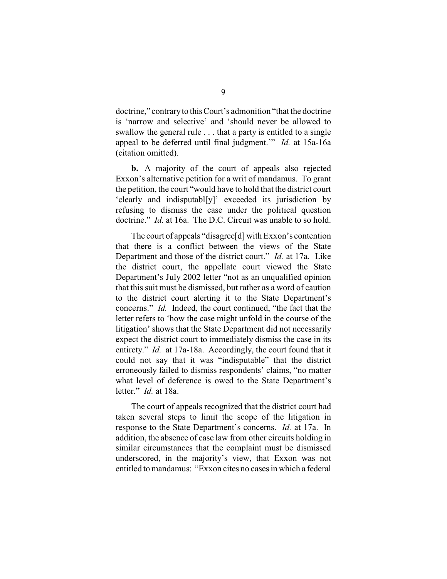doctrine," contrary to this Court's admonition "that the doctrine is 'narrow and selective' and 'should never be allowed to swallow the general rule . . . that a party is entitled to a single appeal to be deferred until final judgment.'" *Id.* at 15a-16a (citation omitted).

**b.** A majority of the court of appeals also rejected Exxon's alternative petition for a writ of mandamus. To grant the petition, the court "would have to hold that the district court 'clearly and indisputabl[y]' exceeded its jurisdiction by refusing to dismiss the case under the political question doctrine." *Id.* at 16a. The D.C. Circuit was unable to so hold.

The court of appeals "disagree[d] with Exxon's contention that there is a conflict between the views of the State Department and those of the district court." *Id.* at 17a. Like the district court, the appellate court viewed the State Department's July 2002 letter "not as an unqualified opinion that this suit must be dismissed, but rather as a word of caution to the district court alerting it to the State Department's concerns." *Id.* Indeed, the court continued, "the fact that the letter refers to 'how the case might unfold in the course of the litigation' shows that the State Department did not necessarily expect the district court to immediately dismiss the case in its entirety." *Id.* at 17a-18a. Accordingly, the court found that it could not say that it was "indisputable" that the district erroneously failed to dismiss respondents' claims, "no matter what level of deference is owed to the State Department's letter." *Id.* at 18a.

The court of appeals recognized that the district court had taken several steps to limit the scope of the litigation in response to the State Department's concerns. *Id.* at 17a. In addition, the absence of case law from other circuits holding in similar circumstances that the complaint must be dismissed underscored, in the majority's view, that Exxon was not entitled to mandamus: "Exxon cites no cases in which a federal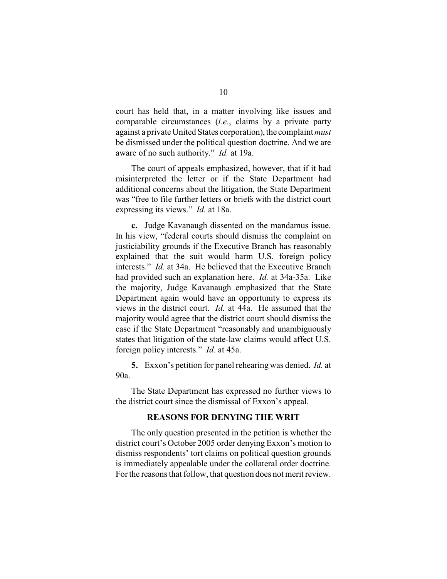court has held that, in a matter involving like issues and comparable circumstances (*i.e.*, claims by a private party against a private United States corporation), the complaint *must* be dismissed under the political question doctrine. And we are aware of no such authority." *Id.* at 19a.

The court of appeals emphasized, however, that if it had misinterpreted the letter or if the State Department had additional concerns about the litigation, the State Department was "free to file further letters or briefs with the district court expressing its views." *Id.* at 18a.

**c.** Judge Kavanaugh dissented on the mandamus issue. In his view, "federal courts should dismiss the complaint on justiciability grounds if the Executive Branch has reasonably explained that the suit would harm U.S. foreign policy interests." *Id.* at 34a. He believed that the Executive Branch had provided such an explanation here. *Id.* at 34a-35a. Like the majority, Judge Kavanaugh emphasized that the State Department again would have an opportunity to express its views in the district court. *Id.* at 44a. He assumed that the majority would agree that the district court should dismiss the case if the State Department "reasonably and unambiguously states that litigation of the state-law claims would affect U.S. foreign policy interests." *Id.* at 45a.

**5.** Exxon's petition for panel rehearing was denied. *Id.* at 90a.

The State Department has expressed no further views to the district court since the dismissal of Exxon's appeal.

#### **REASONS FOR DENYING THE WRIT**

The only question presented in the petition is whether the district court's October 2005 order denying Exxon's motion to dismiss respondents' tort claims on political question grounds is immediately appealable under the collateral order doctrine. For the reasons that follow, that question does not merit review.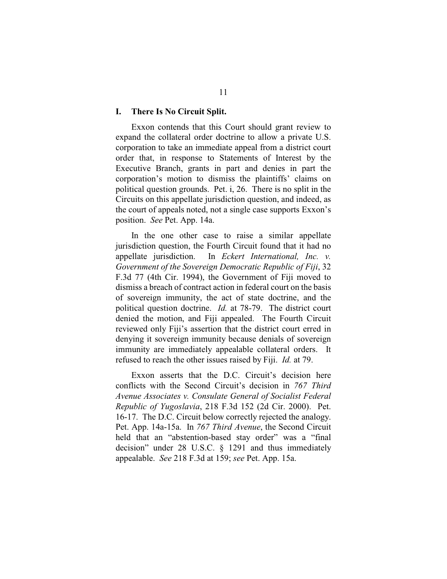#### **I. There Is No Circuit Split.**

Exxon contends that this Court should grant review to expand the collateral order doctrine to allow a private U.S. corporation to take an immediate appeal from a district court order that, in response to Statements of Interest by the Executive Branch, grants in part and denies in part the corporation's motion to dismiss the plaintiffs' claims on political question grounds. Pet. i, 26. There is no split in the Circuits on this appellate jurisdiction question, and indeed, as the court of appeals noted, not a single case supports Exxon's position. *See* Pet. App. 14a.

In the one other case to raise a similar appellate jurisdiction question, the Fourth Circuit found that it had no appellate jurisdiction. In *Eckert International, Inc. v. Government of the Sovereign Democratic Republic of Fiji*, 32 F.3d 77 (4th Cir. 1994), the Government of Fiji moved to dismiss a breach of contract action in federal court on the basis of sovereign immunity, the act of state doctrine, and the political question doctrine. *Id.* at 78-79. The district court denied the motion, and Fiji appealed. The Fourth Circuit reviewed only Fiji's assertion that the district court erred in denying it sovereign immunity because denials of sovereign immunity are immediately appealable collateral orders. It refused to reach the other issues raised by Fiji. *Id.* at 79.

Exxon asserts that the D.C. Circuit's decision here conflicts with the Second Circuit's decision in *767 Third Avenue Associates v. Consulate General of Socialist Federal Republic of Yugoslavia*, 218 F.3d 152 (2d Cir. 2000). Pet. 16-17. The D.C. Circuit below correctly rejected the analogy. Pet. App. 14a-15a. In *767 Third Avenue*, the Second Circuit held that an "abstention-based stay order" was a "final decision" under 28 U.S.C. § 1291 and thus immediately appealable. *See* 218 F.3d at 159; *see* Pet. App. 15a.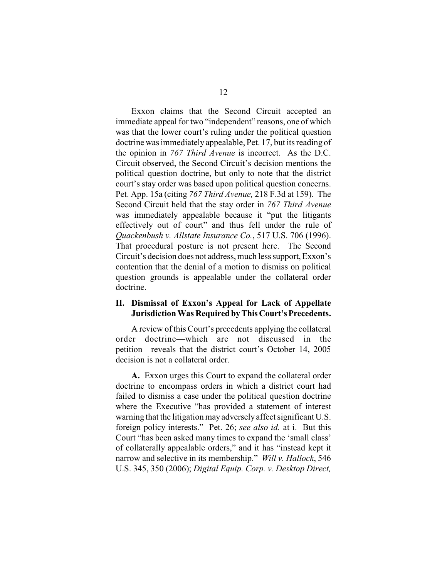Exxon claims that the Second Circuit accepted an immediate appeal for two "independent" reasons, one of which was that the lower court's ruling under the political question doctrine was immediately appealable, Pet. 17, but its reading of the opinion in *767 Third Avenue* is incorrect. As the D.C. Circuit observed, the Second Circuit's decision mentions the political question doctrine, but only to note that the district court's stay order was based upon political question concerns. Pet. App. 15a (citing *767 Third Avenue,* 218 F.3d at 159). The Second Circuit held that the stay order in *767 Third Avenue* was immediately appealable because it "put the litigants effectively out of court" and thus fell under the rule of *Quackenbush v. Allstate Insurance Co.*, 517 U.S. 706 (1996). That procedural posture is not present here. The Second Circuit's decision does not address, much less support, Exxon's contention that the denial of a motion to dismiss on political question grounds is appealable under the collateral order doctrine.

## **II. Dismissal of Exxon's Appeal for Lack of Appellate Jurisdiction Was Required by This Court's Precedents.**

A review of this Court's precedents applying the collateral order doctrine—which are not discussed in the petition—reveals that the district court's October 14, 2005 decision is not a collateral order.

**A.** Exxon urges this Court to expand the collateral order doctrine to encompass orders in which a district court had failed to dismiss a case under the political question doctrine where the Executive "has provided a statement of interest warning that the litigation may adversely affect significant U.S. foreign policy interests." Pet. 26; *see also id.* at i. But this Court "has been asked many times to expand the 'small class' of collaterally appealable orders," and it has "instead kept it narrow and selective in its membership." *Will v. Hallock*, 546 U.S. 345, 350 (2006); *Digital Equip. Corp. v. Desktop Direct,*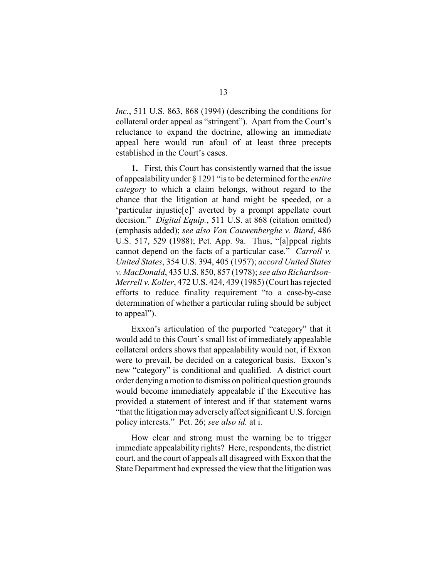*Inc.*, 511 U.S. 863, 868 (1994) (describing the conditions for collateral order appeal as "stringent"). Apart from the Court's reluctance to expand the doctrine, allowing an immediate appeal here would run afoul of at least three precepts established in the Court's cases.

**1.** First, this Court has consistently warned that the issue of appealability under § 1291 "is to be determined for the *entire category* to which a claim belongs, without regard to the chance that the litigation at hand might be speeded, or a 'particular injustic[e]' averted by a prompt appellate court decision." *Digital Equip.*, 511 U.S. at 868 (citation omitted) (emphasis added); *see also Van Cauwenberghe v. Biard*, 486 U.S. 517, 529 (1988); Pet. App. 9a. Thus, "[a]ppeal rights cannot depend on the facts of a particular case." *Carroll v. United States*, 354 U.S. 394, 405 (1957); *accord United States v. MacDonald*, 435 U.S. 850, 857 (1978); *see also Richardson-Merrell v. Koller*, 472 U.S. 424, 439 (1985) (Court has rejected efforts to reduce finality requirement "to a case-by-case determination of whether a particular ruling should be subject to appeal").

Exxon's articulation of the purported "category" that it would add to this Court's small list of immediately appealable collateral orders shows that appealability would not, if Exxon were to prevail, be decided on a categorical basis. Exxon's new "category" is conditional and qualified. A district court order denying a motion to dismiss on political question grounds would become immediately appealable if the Executive has provided a statement of interest and if that statement warns "that the litigation may adversely affect significant U.S. foreign policy interests." Pet. 26; *see also id.* at i.

How clear and strong must the warning be to trigger immediate appealability rights? Here, respondents, the district court, and the court of appeals all disagreed with Exxon that the State Department had expressed the view that the litigation was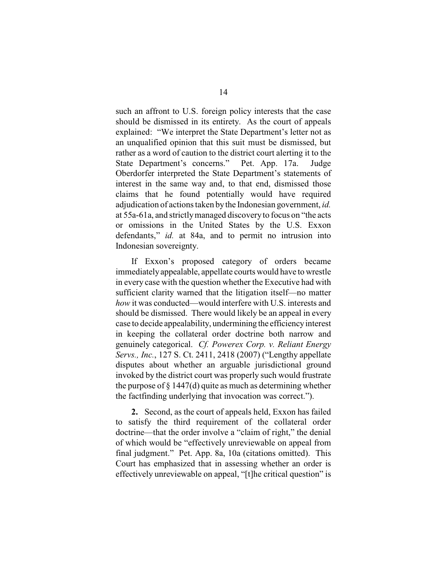such an affront to U.S. foreign policy interests that the case should be dismissed in its entirety. As the court of appeals explained: "We interpret the State Department's letter not as an unqualified opinion that this suit must be dismissed, but rather as a word of caution to the district court alerting it to the State Department's concerns." Pet. App. 17a. Judge Oberdorfer interpreted the State Department's statements of interest in the same way and, to that end, dismissed those claims that he found potentially would have required adjudication of actions taken by the Indonesian government, *id.* at 55a-61a, and strictly managed discovery to focus on "the acts or omissions in the United States by the U.S. Exxon defendants," *id.* at 84a, and to permit no intrusion into Indonesian sovereignty.

If Exxon's proposed category of orders became immediately appealable, appellate courts would have to wrestle in every case with the question whether the Executive had with sufficient clarity warned that the litigation itself—no matter *how* it was conducted—would interfere with U.S. interests and should be dismissed. There would likely be an appeal in every case to decide appealability, undermining the efficiency interest in keeping the collateral order doctrine both narrow and genuinely categorical. *Cf. Powerex Corp. v. Reliant Energy Servs., Inc.*, 127 S. Ct. 2411, 2418 (2007) ("Lengthy appellate disputes about whether an arguable jurisdictional ground invoked by the district court was properly such would frustrate the purpose of  $\S 1447(d)$  quite as much as determining whether the factfinding underlying that invocation was correct.").

**2.** Second, as the court of appeals held, Exxon has failed to satisfy the third requirement of the collateral order doctrine—that the order involve a "claim of right," the denial of which would be "effectively unreviewable on appeal from final judgment." Pet. App. 8a, 10a (citations omitted). This Court has emphasized that in assessing whether an order is effectively unreviewable on appeal, "[t]he critical question" is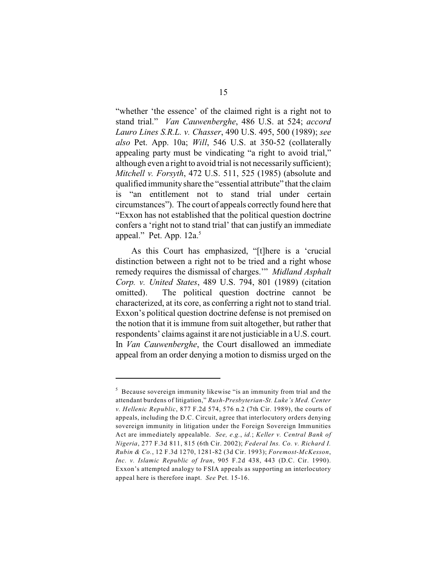"whether 'the essence' of the claimed right is a right not to stand trial." *Van Cauwenberghe*, 486 U.S. at 524; *accord Lauro Lines S.R.L. v. Chasser*, 490 U.S. 495, 500 (1989); *see also* Pet. App. 10a; *Will*, 546 U.S. at 350-52 (collaterally appealing party must be vindicating "a right to avoid trial," although even a right to avoid trial is not necessarily sufficient); *Mitchell v. Forsyth*, 472 U.S. 511, 525 (1985) (absolute and qualified immunity share the "essential attribute" that the claim is "an entitlement not to stand trial under certain circumstances"). The court of appeals correctly found here that "Exxon has not established that the political question doctrine confers a 'right not to stand trial' that can justify an immediate appeal." Pet. App. 12a.<sup>5</sup>

As this Court has emphasized, "[t]here is a 'crucial distinction between a right not to be tried and a right whose remedy requires the dismissal of charges.'" *Midland Asphalt Corp. v. United States*, 489 U.S. 794, 801 (1989) (citation omitted). The political question doctrine cannot be characterized, at its core, as conferring a right not to stand trial. Exxon's political question doctrine defense is not premised on the notion that it is immune from suit altogether, but rather that respondents' claims against it are not justiciable in a U.S. court. In *Van Cauwenberghe*, the Court disallowed an immediate appeal from an order denying a motion to dismiss urged on the

 $<sup>5</sup>$  Because sovereign immunity likewise "is an immunity from trial and the</sup> attendant burdens of litigation," *Rush-Presbyterian-St. Luke's Med. Center v. Hellenic Republic*, 877 F.2d 574, 576 n.2 (7th Cir. 1989), the courts of appeals, including the D.C. Circuit, agree that interlocutory orders denying sovereign immunity in litigation under the Foreign Sovereign Immunities Act are immediately appealable. *See, e.g.*, *id.*; *Keller v. Central Bank of Nigeria*, 277 F.3d 811, 815 (6th Cir. 2002); *Federal Ins. Co. v. Richard I. Rubin & Co.*, 12 F.3d 1270, 1281-82 (3d Cir. 1993); *Foremost-McKesson*, *Inc. v. Islamic Republic of Iran*, 905 F.2d 438, 443 (D.C. Cir. 1990). Exxon's attempted analogy to FSIA appeals as supporting an interlocutory appeal here is therefore inapt. *See* Pet. 15-16.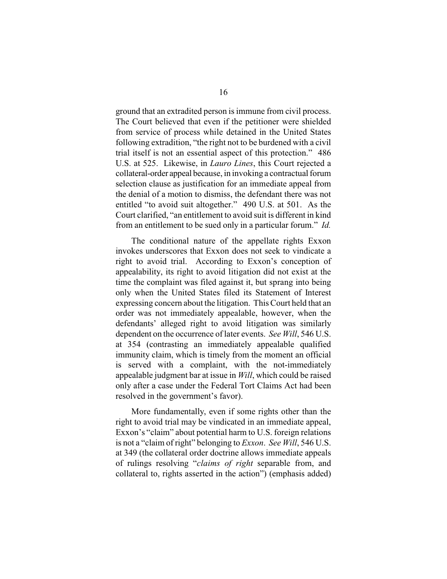ground that an extradited person is immune from civil process. The Court believed that even if the petitioner were shielded from service of process while detained in the United States following extradition, "the right not to be burdened with a civil trial itself is not an essential aspect of this protection." 486 U.S. at 525. Likewise, in *Lauro Lines*, this Court rejected a collateral-order appeal because, in invoking a contractual forum selection clause as justification for an immediate appeal from the denial of a motion to dismiss, the defendant there was not entitled "to avoid suit altogether." 490 U.S. at 501. As the Court clarified, "an entitlement to avoid suit is different in kind from an entitlement to be sued only in a particular forum." *Id.*

The conditional nature of the appellate rights Exxon invokes underscores that Exxon does not seek to vindicate a right to avoid trial. According to Exxon's conception of appealability, its right to avoid litigation did not exist at the time the complaint was filed against it, but sprang into being only when the United States filed its Statement of Interest expressing concern about the litigation. This Court held that an order was not immediately appealable, however, when the defendants' alleged right to avoid litigation was similarly dependent on the occurrence of later events. *See Will*, 546 U.S. at 354 (contrasting an immediately appealable qualified immunity claim, which is timely from the moment an official is served with a complaint, with the not-immediately appealable judgment bar at issue in *Will*, which could be raised only after a case under the Federal Tort Claims Act had been resolved in the government's favor).

More fundamentally, even if some rights other than the right to avoid trial may be vindicated in an immediate appeal, Exxon's "claim" about potential harm to U.S. foreign relations is not a "claim of right" belonging to *Exxon*. *See Will*, 546 U.S. at 349 (the collateral order doctrine allows immediate appeals of rulings resolving "*claims of right* separable from, and collateral to, rights asserted in the action") (emphasis added)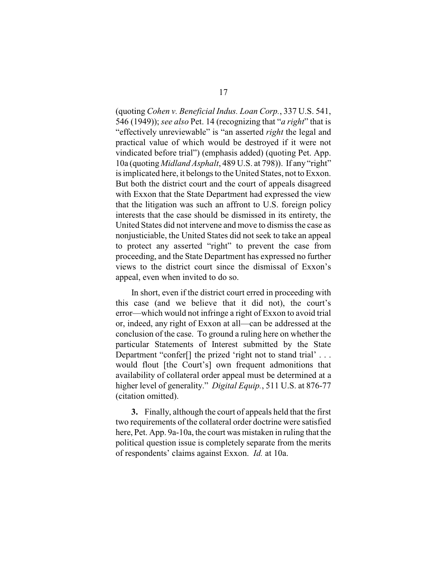(quoting *Cohen v. Beneficial Indus. Loan Corp.*, 337 U.S. 541, 546 (1949)); *see also* Pet. 14 (recognizing that "*a right*" that is "effectively unreviewable" is "an asserted *right* the legal and practical value of which would be destroyed if it were not vindicated before trial") (emphasis added) (quoting Pet. App. 10a (quoting *Midland Asphalt*, 489 U.S. at 798)). If any "right" is implicated here, it belongs to the United States, not to Exxon. But both the district court and the court of appeals disagreed with Exxon that the State Department had expressed the view that the litigation was such an affront to U.S. foreign policy interests that the case should be dismissed in its entirety, the United States did not intervene and move to dismiss the case as nonjusticiable, the United States did not seek to take an appeal to protect any asserted "right" to prevent the case from proceeding, and the State Department has expressed no further views to the district court since the dismissal of Exxon's appeal, even when invited to do so.

In short, even if the district court erred in proceeding with this case (and we believe that it did not), the court's error—which would not infringe a right of Exxon to avoid trial or, indeed, any right of Exxon at all—can be addressed at the conclusion of the case. To ground a ruling here on whether the particular Statements of Interest submitted by the State Department "confer<sup>[]</sup> the prized 'right not to stand trial' . . . would flout [the Court's] own frequent admonitions that availability of collateral order appeal must be determined at a higher level of generality." *Digital Equip.*, 511 U.S. at 876-77 (citation omitted).

**3.** Finally, although the court of appeals held that the first two requirements of the collateral order doctrine were satisfied here, Pet. App. 9a-10a, the court was mistaken in ruling that the political question issue is completely separate from the merits of respondents' claims against Exxon. *Id.* at 10a.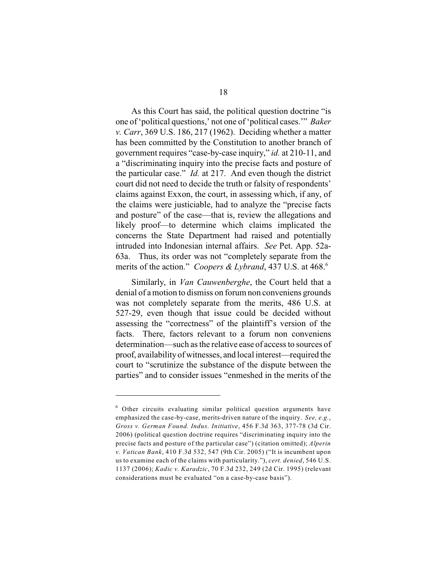As this Court has said, the political question doctrine "is one of 'political questions,' not one of 'political cases.'" *Baker v. Carr*, 369 U.S. 186, 217 (1962). Deciding whether a matter has been committed by the Constitution to another branch of government requires "case-by-case inquiry," *id.* at 210-11, and a "discriminating inquiry into the precise facts and posture of the particular case." *Id.* at 217. And even though the district court did not need to decide the truth or falsity of respondents' claims against Exxon, the court, in assessing which, if any, of the claims were justiciable, had to analyze the "precise facts and posture" of the case—that is, review the allegations and likely proof—to determine which claims implicated the concerns the State Department had raised and potentially intruded into Indonesian internal affairs. *See* Pet. App. 52a-63a. Thus, its order was not "completely separate from the merits of the action." *Coopers & Lybrand*, 437 U.S. at 468.<sup>6</sup>

Similarly, in *Van Cauwenberghe*, the Court held that a denial of a motion to dismiss on forum non conveniens grounds was not completely separate from the merits, 486 U.S. at 527-29, even though that issue could be decided without assessing the "correctness" of the plaintiff's version of the facts. There, factors relevant to a forum non conveniens determination—such as the relative ease of access to sources of proof, availability of witnesses, and local interest—required the court to "scrutinize the substance of the dispute between the parties" and to consider issues "enmeshed in the merits of the

 $6$  Other circuits evaluating similar political question arguments have emphasized the case-by-case, merits-driven nature of the inquiry. *See, e.g.*, *Gross v. German Found. Indus. Initiative*, 456 F.3d 363, 377-78 (3d Cir. 2006) (political question doctrine requires "discriminating inquiry into the precise facts and posture of the particular case") (citation omitted); *Alperin v. Vatican Bank*, 410 F.3d 532, 547 (9th Cir. 2005) ("It is incumbent upon us to examine each of the claims with particularity."), *cert. denied*, 546 U.S. 1137 (2006); *Kadic v. Karadzic*, 70 F.3d 232, 249 (2d Cir. 1995) (relevant considerations must be evaluated "on a case-by-case basis").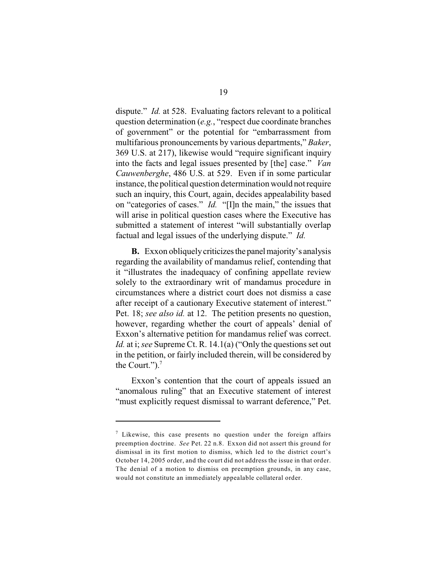dispute." *Id.* at 528. Evaluating factors relevant to a political question determination (*e.g.*, "respect due coordinate branches of government" or the potential for "embarrassment from multifarious pronouncements by various departments," *Baker*, 369 U.S. at 217), likewise would "require significant inquiry into the facts and legal issues presented by [the] case." *Van Cauwenberghe*, 486 U.S. at 529. Even if in some particular instance, the political question determination would not require such an inquiry, this Court, again, decides appealability based on "categories of cases." *Id.* "[I]n the main," the issues that will arise in political question cases where the Executive has submitted a statement of interest "will substantially overlap factual and legal issues of the underlying dispute." *Id.*

**B.** Exxon obliquely criticizes the panel majority's analysis regarding the availability of mandamus relief, contending that it "illustrates the inadequacy of confining appellate review solely to the extraordinary writ of mandamus procedure in circumstances where a district court does not dismiss a case after receipt of a cautionary Executive statement of interest." Pet. 18; *see also id.* at 12. The petition presents no question, however, regarding whether the court of appeals' denial of Exxon's alternative petition for mandamus relief was correct. *Id.* at *i*; *see* Supreme Ct. R. 14.1(a) ("Only the questions set out in the petition, or fairly included therein, will be considered by the Court." $)$ .<sup>7</sup>

Exxon's contention that the court of appeals issued an "anomalous ruling" that an Executive statement of interest "must explicitly request dismissal to warrant deference," Pet.

 $\frac{7}{7}$  Likewise, this case presents no question under the foreign affairs preemption doctrine. *See* Pet. 22 n.8. Exxon did not assert this ground for dismissal in its first motion to dismiss, which led to the district court's October 14, 2005 order, and the court did not address the issue in that order. The denial of a motion to dismiss on preemption grounds, in any case, would not constitute an immediately appealable collateral order.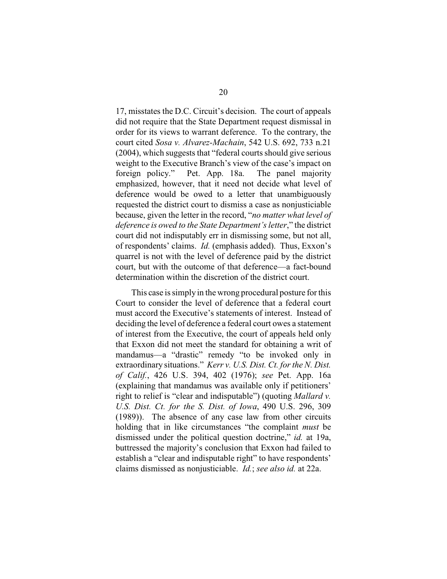17, misstates the D.C. Circuit's decision. The court of appeals did not require that the State Department request dismissal in order for its views to warrant deference. To the contrary, the court cited *Sosa v. Alvarez-Machain*, 542 U.S. 692, 733 n.21 (2004), which suggests that "federal courts should give serious weight to the Executive Branch's view of the case's impact on foreign policy." Pet. App. 18a. The panel majority emphasized, however, that it need not decide what level of deference would be owed to a letter that unambiguously requested the district court to dismiss a case as nonjusticiable because, given the letter in the record, "*no matter what level of deference is owed to the State Department's letter*," the district court did not indisputably err in dismissing some, but not all, of respondents' claims. *Id.* (emphasis added). Thus, Exxon's quarrel is not with the level of deference paid by the district court, but with the outcome of that deference—a fact-bound determination within the discretion of the district court.

This case is simply in the wrong procedural posture for this Court to consider the level of deference that a federal court must accord the Executive's statements of interest. Instead of deciding the level of deference a federal court owes a statement of interest from the Executive, the court of appeals held only that Exxon did not meet the standard for obtaining a writ of mandamus—a "drastic" remedy "to be invoked only in extraordinary situations." *Kerr v. U.S. Dist. Ct. for the N. Dist. of Calif.*, 426 U.S. 394, 402 (1976); *see* Pet. App. 16a (explaining that mandamus was available only if petitioners' right to relief is "clear and indisputable") (quoting *Mallard v. U.S. Dist. Ct. for the S. Dist. of Iowa*, 490 U.S. 296, 309 (1989)). The absence of any case law from other circuits holding that in like circumstances "the complaint *must* be dismissed under the political question doctrine," *id.* at 19a, buttressed the majority's conclusion that Exxon had failed to establish a "clear and indisputable right" to have respondents' claims dismissed as nonjusticiable. *Id.*; *see also id.* at 22a.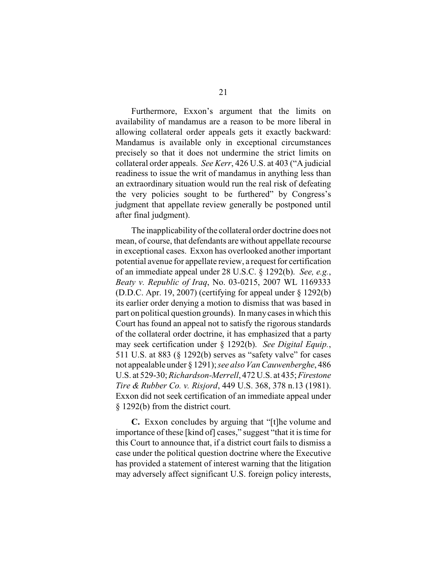Furthermore, Exxon's argument that the limits on availability of mandamus are a reason to be more liberal in allowing collateral order appeals gets it exactly backward: Mandamus is available only in exceptional circumstances precisely so that it does not undermine the strict limits on collateral order appeals. *See Kerr*, 426 U.S. at 403 ("A judicial readiness to issue the writ of mandamus in anything less than an extraordinary situation would run the real risk of defeating the very policies sought to be furthered" by Congress's judgment that appellate review generally be postponed until after final judgment).

The inapplicability of the collateral order doctrine does not mean, of course, that defendants are without appellate recourse in exceptional cases. Exxon has overlooked another important potential avenue for appellate review, a request for certification of an immediate appeal under 28 U.S.C. § 1292(b). *See, e.g.*, *Beaty v. Republic of Iraq*, No. 03-0215, 2007 WL 1169333 (D.D.C. Apr. 19, 2007) (certifying for appeal under § 1292(b) its earlier order denying a motion to dismiss that was based in part on political question grounds). In many cases in which this Court has found an appeal not to satisfy the rigorous standards of the collateral order doctrine, it has emphasized that a party may seek certification under § 1292(b). *See Digital Equip.*, 511 U.S. at 883 (§ 1292(b) serves as "safety valve" for cases not appealable under § 1291); *see also Van Cauwenberghe*, 486 U.S. at 529-30; *Richardson-Merrell*, 472 U.S. at 435; *Firestone Tire & Rubber Co. v. Risjord*, 449 U.S. 368, 378 n.13 (1981). Exxon did not seek certification of an immediate appeal under § 1292(b) from the district court.

 **C.** Exxon concludes by arguing that "[t]he volume and importance of these [kind of] cases," suggest "that it is time for this Court to announce that, if a district court fails to dismiss a case under the political question doctrine where the Executive has provided a statement of interest warning that the litigation may adversely affect significant U.S. foreign policy interests,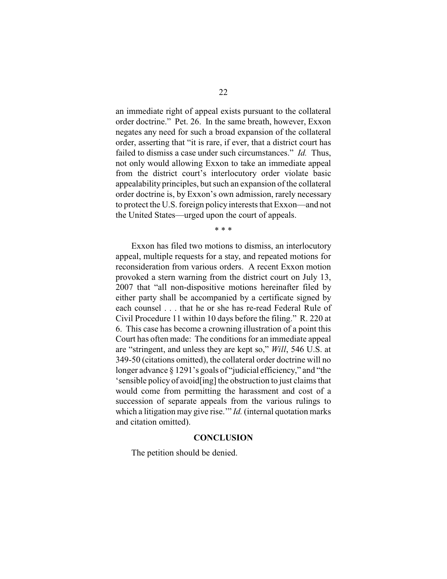an immediate right of appeal exists pursuant to the collateral order doctrine." Pet. 26. In the same breath, however, Exxon negates any need for such a broad expansion of the collateral order, asserting that "it is rare, if ever, that a district court has failed to dismiss a case under such circumstances." *Id.* Thus, not only would allowing Exxon to take an immediate appeal from the district court's interlocutory order violate basic appealability principles, but such an expansion of the collateral order doctrine is, by Exxon's own admission, rarely necessary to protect the U.S. foreign policy interests that Exxon—and not the United States—urged upon the court of appeals.

\* \* \*

Exxon has filed two motions to dismiss, an interlocutory appeal, multiple requests for a stay, and repeated motions for reconsideration from various orders. A recent Exxon motion provoked a stern warning from the district court on July 13, 2007 that "all non-dispositive motions hereinafter filed by either party shall be accompanied by a certificate signed by each counsel . . . that he or she has re-read Federal Rule of Civil Procedure 11 within 10 days before the filing." R. 220 at 6. This case has become a crowning illustration of a point this Court has often made: The conditions for an immediate appeal are "stringent, and unless they are kept so," *Will*, 546 U.S. at 349-50 (citations omitted), the collateral order doctrine will no longer advance § 1291's goals of "judicial efficiency," and "the 'sensible policy of avoid[ing] the obstruction to just claims that would come from permitting the harassment and cost of a succession of separate appeals from the various rulings to which a litigation may give rise.'" *Id.* (internal quotation marks and citation omitted).

#### **CONCLUSION**

The petition should be denied.